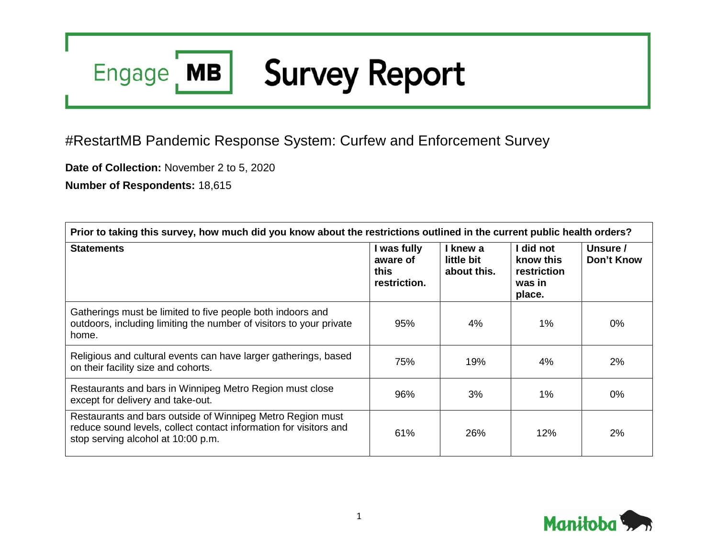## **Survey Report** Engage MB

## #RestartMB Pandemic Response System: Curfew and Enforcement Survey

**Date of Collection:** November 2 to 5, 2020

**Number of Respondents:** 18,615

| Prior to taking this survey, how much did you know about the restrictions outlined in the current public health orders?                                               |                                                 |                                       |                                                           |                        |  |
|-----------------------------------------------------------------------------------------------------------------------------------------------------------------------|-------------------------------------------------|---------------------------------------|-----------------------------------------------------------|------------------------|--|
| <b>Statements</b>                                                                                                                                                     | I was fully<br>aware of<br>this<br>restriction. | I knew a<br>little bit<br>about this. | I did not<br>know this<br>restriction<br>was in<br>place. | Unsure /<br>Don't Know |  |
| Gatherings must be limited to five people both indoors and<br>outdoors, including limiting the number of visitors to your private<br>home.                            | 95%                                             | 4%                                    | $1\%$                                                     | 0%                     |  |
| Religious and cultural events can have larger gatherings, based<br>on their facility size and cohorts.                                                                | 75%                                             | 19%                                   | 4%                                                        | 2%                     |  |
| Restaurants and bars in Winnipeg Metro Region must close<br>except for delivery and take-out.                                                                         | 96%                                             | 3%                                    | $1\%$                                                     | $0\%$                  |  |
| Restaurants and bars outside of Winnipeg Metro Region must<br>reduce sound levels, collect contact information for visitors and<br>stop serving alcohol at 10:00 p.m. | 61%                                             | 26%                                   | 12%                                                       | 2%                     |  |

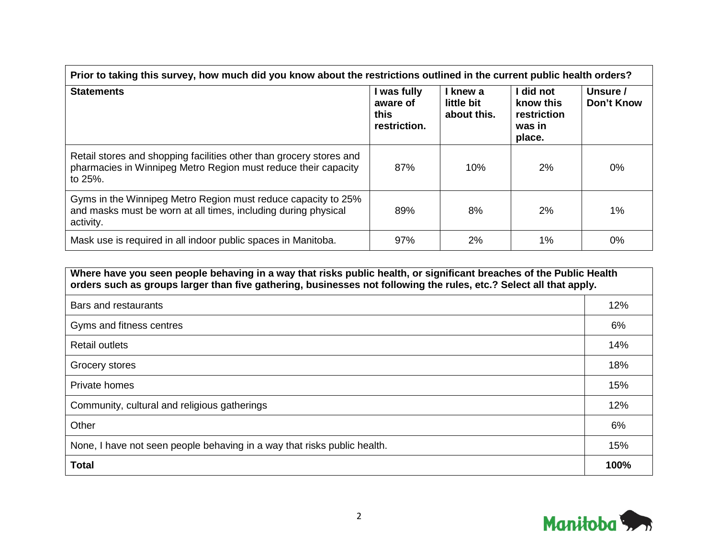| Prior to taking this survey, how much did you know about the restrictions outlined in the current public health orders?                          |                                                 |                                       |                                                           |                        |  |
|--------------------------------------------------------------------------------------------------------------------------------------------------|-------------------------------------------------|---------------------------------------|-----------------------------------------------------------|------------------------|--|
| <b>Statements</b>                                                                                                                                | I was fully<br>aware of<br>this<br>restriction. | I knew a<br>little bit<br>about this. | I did not<br>know this<br>restriction<br>was in<br>place. | Unsure /<br>Don't Know |  |
| Retail stores and shopping facilities other than grocery stores and<br>pharmacies in Winnipeg Metro Region must reduce their capacity<br>to 25%. | 87%                                             | 10%                                   | 2%                                                        | $0\%$                  |  |
| Gyms in the Winnipeg Metro Region must reduce capacity to 25%<br>and masks must be worn at all times, including during physical<br>activity.     | 89%                                             | 8%                                    | 2%                                                        | 1%                     |  |
| Mask use is required in all indoor public spaces in Manitoba.                                                                                    | 97%                                             | 2%                                    | 1%                                                        | $0\%$                  |  |

| Where have you seen people behaving in a way that risks public health, or significant breaches of the Public Health<br>orders such as groups larger than five gathering, businesses not following the rules, etc.? Select all that apply. |      |  |
|-------------------------------------------------------------------------------------------------------------------------------------------------------------------------------------------------------------------------------------------|------|--|
| Bars and restaurants                                                                                                                                                                                                                      | 12%  |  |
| Gyms and fitness centres                                                                                                                                                                                                                  | 6%   |  |
| <b>Retail outlets</b>                                                                                                                                                                                                                     | 14%  |  |
| Grocery stores                                                                                                                                                                                                                            | 18%  |  |
| Private homes                                                                                                                                                                                                                             | 15%  |  |
| Community, cultural and religious gatherings                                                                                                                                                                                              | 12%  |  |
| Other                                                                                                                                                                                                                                     | 6%   |  |
| None, I have not seen people behaving in a way that risks public health.                                                                                                                                                                  | 15%  |  |
| <b>Total</b>                                                                                                                                                                                                                              | 100% |  |

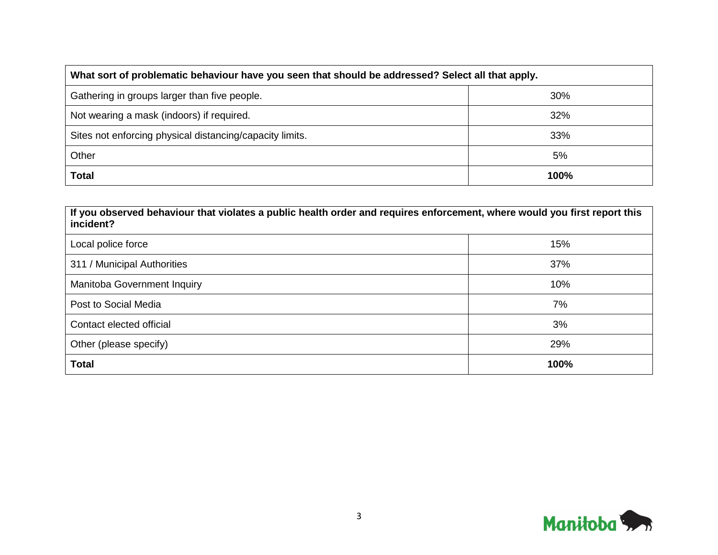| What sort of problematic behaviour have you seen that should be addressed? Select all that apply. |     |  |  |
|---------------------------------------------------------------------------------------------------|-----|--|--|
| Gathering in groups larger than five people.                                                      | 30% |  |  |
| Not wearing a mask (indoors) if required.                                                         | 32% |  |  |
| Sites not enforcing physical distancing/capacity limits.                                          | 33% |  |  |
| Other                                                                                             | 5%  |  |  |
| <b>Total</b><br>100%                                                                              |     |  |  |

| If you observed behaviour that violates a public health order and requires enforcement, where would you first report this<br>incident? |      |  |  |
|----------------------------------------------------------------------------------------------------------------------------------------|------|--|--|
| Local police force                                                                                                                     | 15%  |  |  |
| 311 / Municipal Authorities                                                                                                            | 37%  |  |  |
| Manitoba Government Inquiry                                                                                                            | 10%  |  |  |
| Post to Social Media                                                                                                                   | 7%   |  |  |
| Contact elected official                                                                                                               | 3%   |  |  |
| Other (please specify)                                                                                                                 | 29%  |  |  |
| <b>Total</b>                                                                                                                           | 100% |  |  |

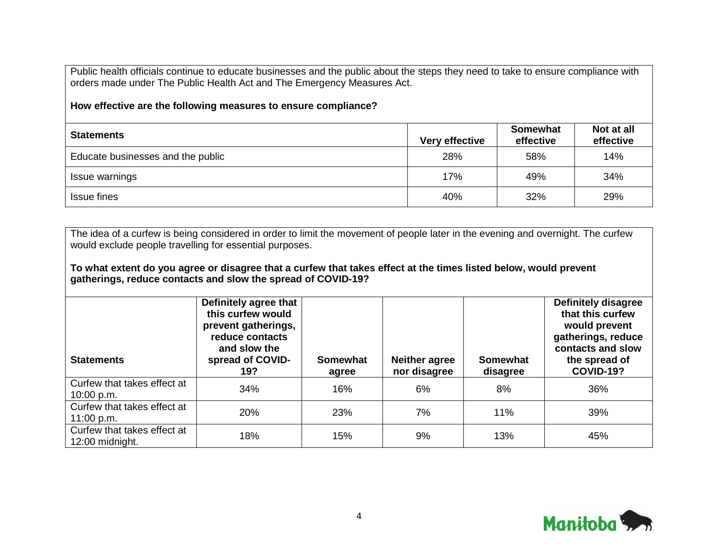Public health officials continue to educate businesses and the public about the steps they need to take to ensure compliance with orders made under The Public Health Act and The Emergency Measures Act.

**How effective are the following measures to ensure compliance?**

| <b>Statements</b>                 | <b>Very effective</b> | Somewhat<br>effective | Not at all<br>effective |
|-----------------------------------|-----------------------|-----------------------|-------------------------|
| Educate businesses and the public | 28%                   | 58%                   | 14%                     |
| Issue warnings                    | 17%                   | 49%                   | 34%                     |
| Issue fines                       | 40%                   | 32%                   | 29%                     |

The idea of a curfew is being considered in order to limit the movement of people later in the evening and overnight. The curfew would exclude people travelling for essential purposes.

**To what extent do you agree or disagree that a curfew that takes effect at the times listed below, would prevent gatherings, reduce contacts and slow the spread of COVID-19?**

| <b>Statements</b>                              | Definitely agree that<br>this curfew would<br>prevent gatherings,<br>reduce contacts<br>and slow the<br>spread of COVID-<br>19? | Somewhat<br>agree | <b>Neither agree</b><br>nor disagree | <b>Somewhat</b><br>disagree | <b>Definitely disagree</b><br>that this curfew<br>would prevent<br>gatherings, reduce<br>contacts and slow<br>the spread of<br><b>COVID-19?</b> |
|------------------------------------------------|---------------------------------------------------------------------------------------------------------------------------------|-------------------|--------------------------------------|-----------------------------|-------------------------------------------------------------------------------------------------------------------------------------------------|
| Curfew that takes effect at<br>10:00 p.m.      | 34%                                                                                                                             | 16%               | 6%                                   | 8%                          | 36%                                                                                                                                             |
| Curfew that takes effect at<br>11:00 p.m.      | 20%                                                                                                                             | 23%               | 7%                                   | 11%                         | 39%                                                                                                                                             |
| Curfew that takes effect at<br>12:00 midnight. | 18%                                                                                                                             | 15%               | 9%                                   | 13%                         | 45%                                                                                                                                             |

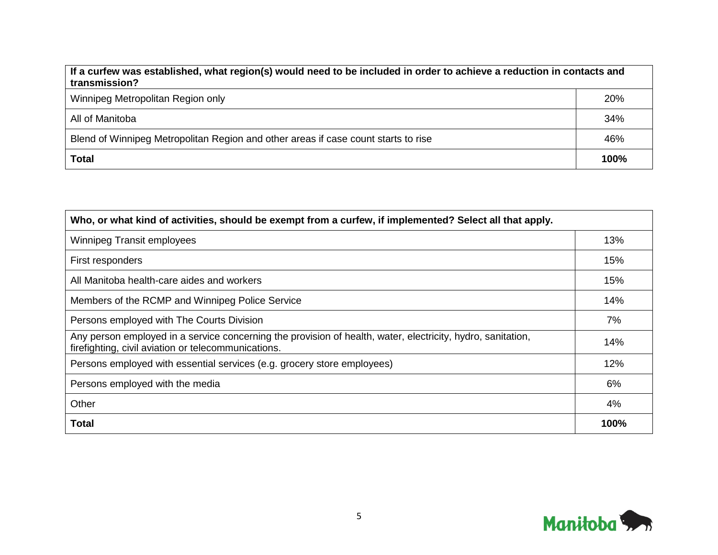| If a curfew was established, what region(s) would need to be included in order to achieve a reduction in contacts and<br>transmission? |      |  |
|----------------------------------------------------------------------------------------------------------------------------------------|------|--|
| Winnipeg Metropolitan Region only                                                                                                      | 20%  |  |
| All of Manitoba                                                                                                                        | 34%  |  |
| Blend of Winnipeg Metropolitan Region and other areas if case count starts to rise                                                     | 46%  |  |
| <b>Total</b>                                                                                                                           | 100% |  |

| Who, or what kind of activities, should be exempt from a curfew, if implemented? Select all that apply.                                                            |      |  |
|--------------------------------------------------------------------------------------------------------------------------------------------------------------------|------|--|
| <b>Winnipeg Transit employees</b>                                                                                                                                  | 13%  |  |
| First responders                                                                                                                                                   | 15%  |  |
| All Manitoba health-care aides and workers                                                                                                                         | 15%  |  |
| Members of the RCMP and Winnipeg Police Service                                                                                                                    | 14%  |  |
| Persons employed with The Courts Division                                                                                                                          | 7%   |  |
| Any person employed in a service concerning the provision of health, water, electricity, hydro, sanitation,<br>firefighting, civil aviation or telecommunications. | 14%  |  |
| Persons employed with essential services (e.g. grocery store employees)                                                                                            | 12%  |  |
| Persons employed with the media                                                                                                                                    | 6%   |  |
| Other                                                                                                                                                              | 4%   |  |
| Total                                                                                                                                                              | 100% |  |